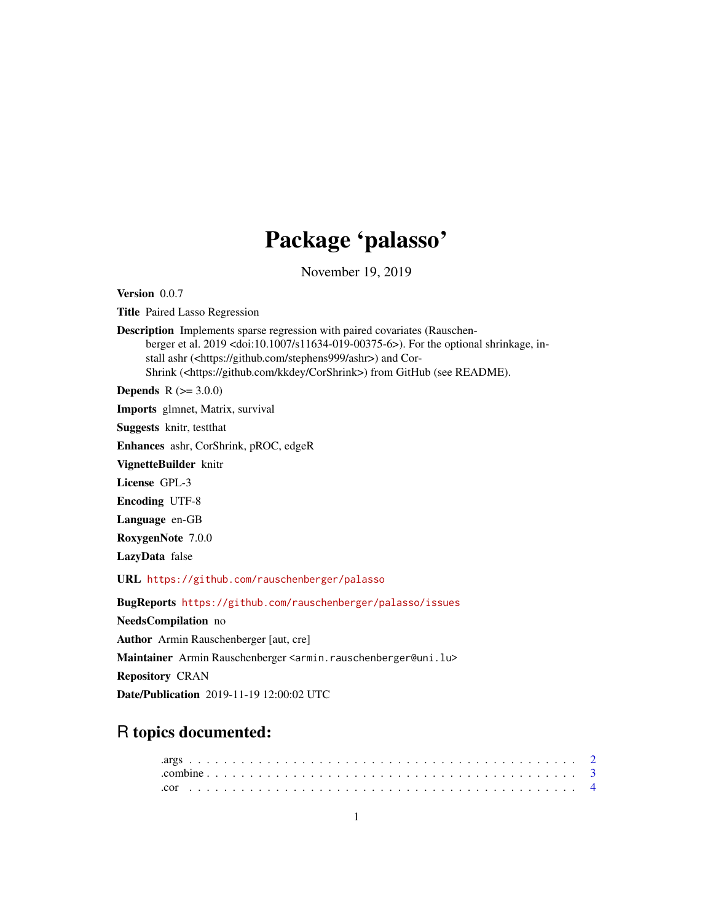# Package 'palasso'

November 19, 2019

<span id="page-0-0"></span>Version 0.0.7

Title Paired Lasso Regression

Description Implements sparse regression with paired covariates (Rauschenberger et al. 2019 <doi:10.1007/s11634-019-00375-6>). For the optional shrinkage, install ashr (<https://github.com/stephens999/ashr>) and Cor-Shrink (<https://github.com/kkdey/CorShrink>) from GitHub (see README).

**Depends**  $R (= 3.0.0)$ 

Imports glmnet, Matrix, survival

Suggests knitr, testthat

Enhances ashr, CorShrink, pROC, edgeR

VignetteBuilder knitr

License GPL-3

Encoding UTF-8

Language en-GB

RoxygenNote 7.0.0

LazyData false

URL <https://github.com/rauschenberger/palasso>

BugReports <https://github.com/rauschenberger/palasso/issues> NeedsCompilation no Author Armin Rauschenberger [aut, cre] Maintainer Armin Rauschenberger <armin.rauschenberger@uni.lu> Repository CRAN Date/Publication 2019-11-19 12:00:02 UTC

# R topics documented: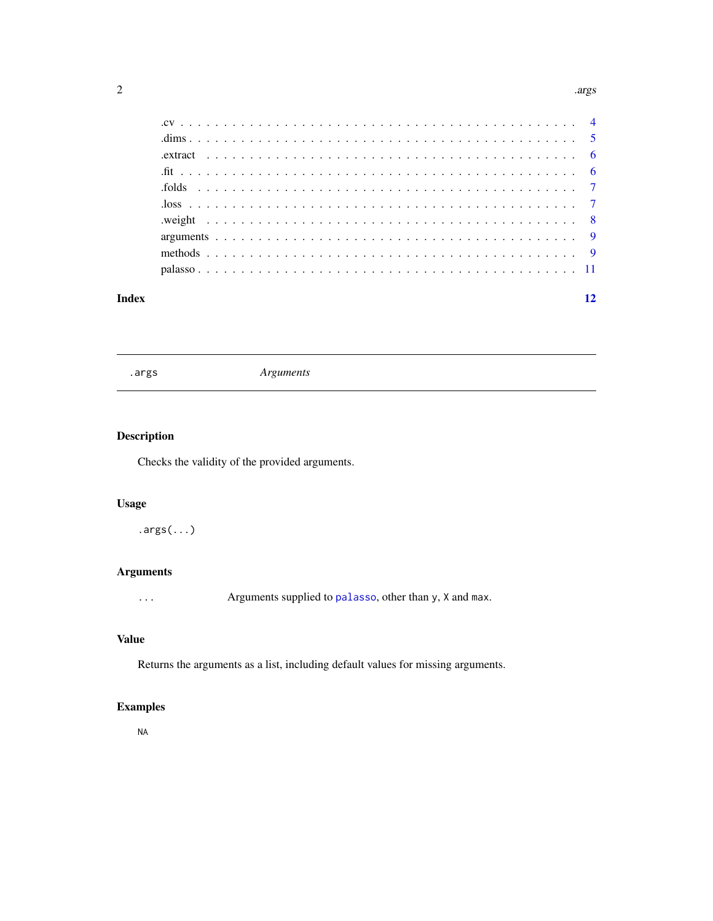#### <span id="page-1-0"></span> $2 \,$  args  $\,$  args  $\,$  args  $\,$  args  $\,$  args  $\,$  args  $\,$  args  $\,$  args  $\,$  args  $\,$  args  $\,$  args  $\,$  args  $\,$  args  $\,$  args  $\,$  args  $\,$  args  $\,$  args  $\,$  args  $\,$  args  $\,$  args  $\,$  args  $\,$  args

#### **Index** [12](#page-11-0)

<span id="page-1-1"></span>.args *Arguments*

### Description

Checks the validity of the provided arguments.

#### Usage

.args(...)

#### Arguments

... Arguments supplied to [palasso](#page-10-1), other than y, X and max.

#### Value

Returns the arguments as a list, including default values for missing arguments.

#### Examples

NA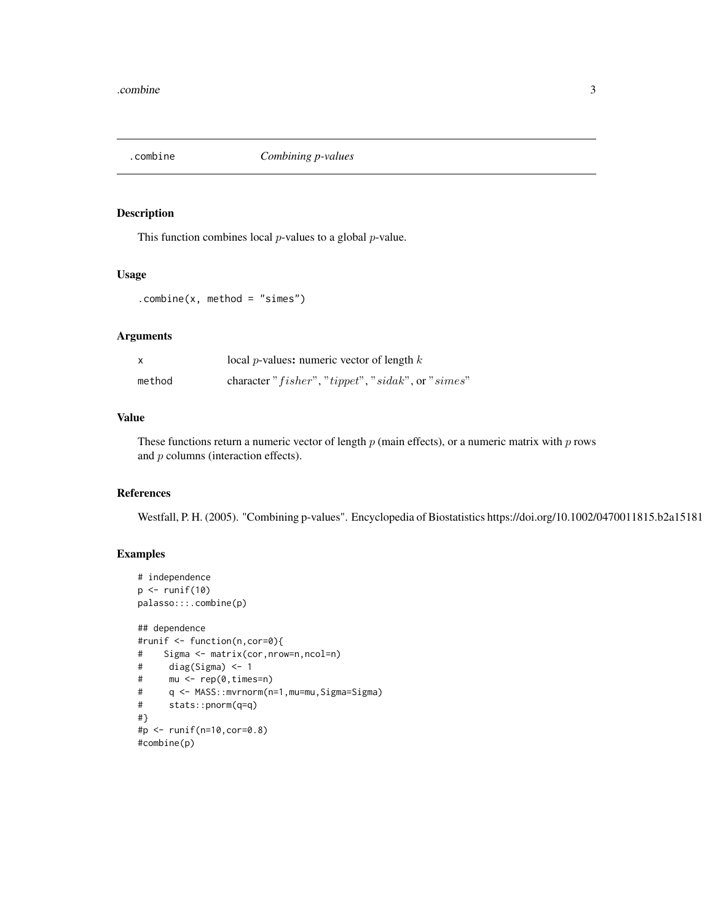<span id="page-2-0"></span>

This function combines local  $p$ -values to a global  $p$ -value.

#### Usage

```
.combine(x, method = "simes")
```
#### Arguments

| X      | local <i>p</i> -values: numeric vector of length $k$              |
|--------|-------------------------------------------------------------------|
| method | character " $fisher$ ", " $tippet$ ", " $sidak$ ", or " $simes$ " |

#### Value

These functions return a numeric vector of length  $p$  (main effects), or a numeric matrix with  $p$  rows and p columns (interaction effects).

#### References

Westfall, P. H. (2005). "Combining p-values". Encyclopedia of Biostatistics https://doi.org/10.1002/0470011815.b2a15181

#### Examples

```
# independence
p \leftarrow runif(10)palasso:::.combine(p)
```

```
## dependence
#runif <- function(n,cor=0){
# Sigma <- matrix(cor,nrow=n,ncol=n)
# diag(Sigma) <- 1
# mu <- rep(0,times=n)
# q <- MASS::mvrnorm(n=1,mu=mu,Sigma=Sigma)
# stats::pnorm(q=q)
#}
#p <- runif(n=10,cor=0.8)
#combine(p)
```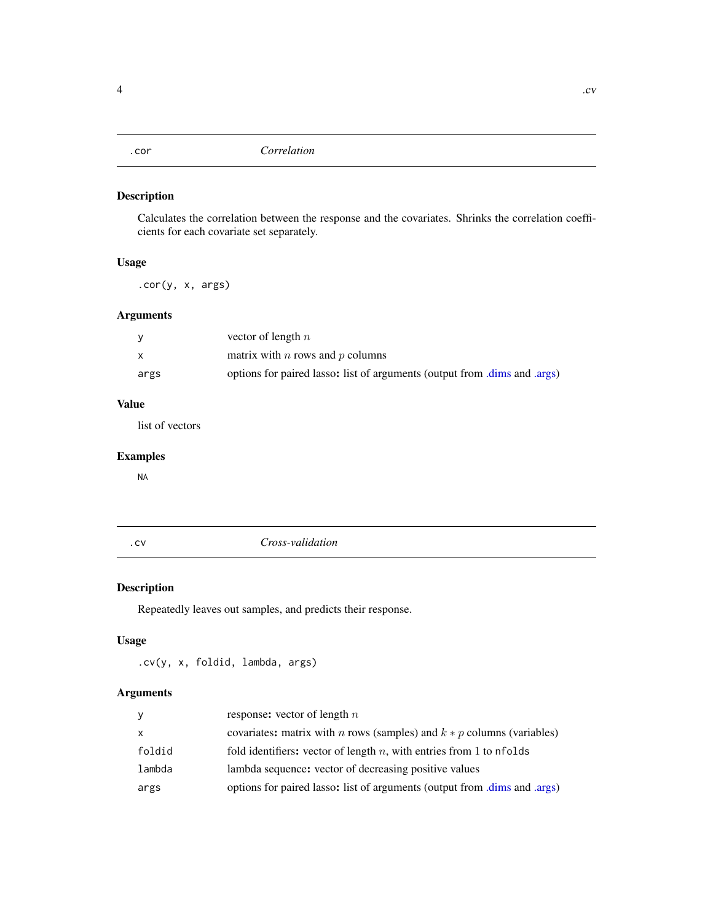<span id="page-3-0"></span>Calculates the correlation between the response and the covariates. Shrinks the correlation coefficients for each covariate set separately.

#### Usage

.cor(y, x, args)

### Arguments

|      | vector of length $n$                                                      |
|------|---------------------------------------------------------------------------|
|      | matrix with $n$ rows and $p$ columns                                      |
| args | options for paired lasso: list of arguments (output from .dims and .args) |

### Value

list of vectors

#### Examples

NA

.cv *Cross-validation*

#### Description

Repeatedly leaves out samples, and predicts their response.

#### Usage

.cv(y, x, foldid, lambda, args)

#### Arguments

| y            | response: vector of length $n$                                                  |
|--------------|---------------------------------------------------------------------------------|
| $\mathsf{x}$ | covariates: matrix with <i>n</i> rows (samples) and $k * p$ columns (variables) |
| foldid       | fold identifiers: vector of length $n$ , with entries from 1 to nfolds          |
| lambda       | lambda sequence: vector of decreasing positive values                           |
| args         | options for paired lasso: list of arguments (output from .dims and .args)       |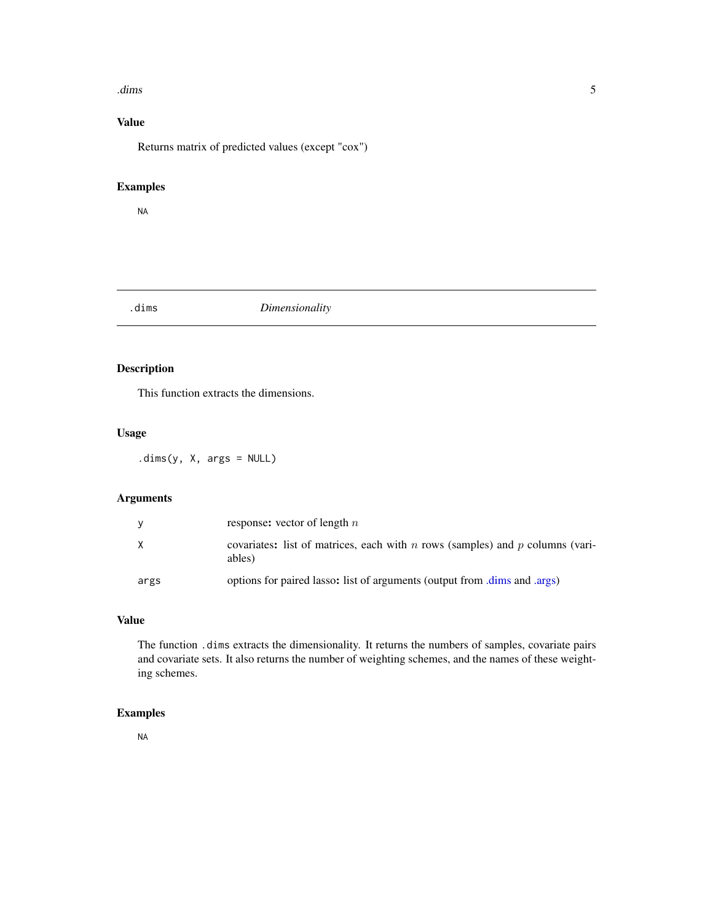#### <span id="page-4-0"></span> $\lambda$  dims  $\sim$  5

### Value

Returns matrix of predicted values (except "cox")

#### Examples

NA

#### <span id="page-4-1"></span>.dims *Dimensionality*

#### Description

This function extracts the dimensions.

#### Usage

.dims(y, X, args = NULL)

#### Arguments

| <b>Y</b> | response: vector of length $n$                                                          |
|----------|-----------------------------------------------------------------------------------------|
| X        | covariates: list of matrices, each with n rows (samples) and p columns (vari-<br>ables) |
| args     | options for paired lasso: list of arguments (output from .dims and .args)               |

#### Value

The function .dims extracts the dimensionality. It returns the numbers of samples, covariate pairs and covariate sets. It also returns the number of weighting schemes, and the names of these weighting schemes.

#### Examples

NA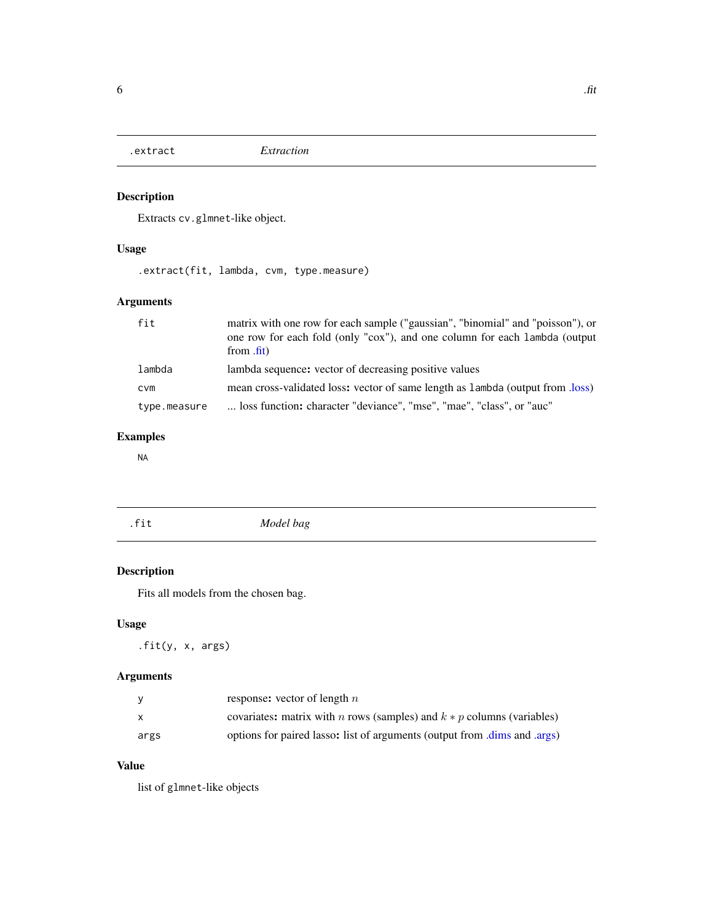<span id="page-5-0"></span>

Extracts cv.glmnet-like object.

### Usage

.extract(fit, lambda, cvm, type.measure)

### Arguments

| fit          | matrix with one row for each sample ("gaussian", "binomial" and "poisson"), or<br>one row for each fold (only "cox"), and one column for each lambda (output<br>from .fit) |
|--------------|----------------------------------------------------------------------------------------------------------------------------------------------------------------------------|
| lambda       | lambda sequence: vector of decreasing positive values                                                                                                                      |
| <b>CVM</b>   | mean cross-validated loss: vector of same length as lambda (output from .loss)                                                                                             |
| type.measure | loss function: character "deviance", "mse", "mae", "class", or "auc"                                                                                                       |

### Examples

NA

<span id="page-5-1"></span>

| <u>. . </u><br>$+ +$<br>1 T L | Model bag |
|-------------------------------|-----------|
|                               |           |

### Description

Fits all models from the chosen bag.

### Usage

.fit(y, x, args)

### Arguments

|      | response: vector of length $n$                                            |
|------|---------------------------------------------------------------------------|
|      | covariates: matrix with n rows (samples) and $k * p$ columns (variables)  |
| args | options for paired lasso: list of arguments (output from .dims and .args) |

#### Value

list of glmnet-like objects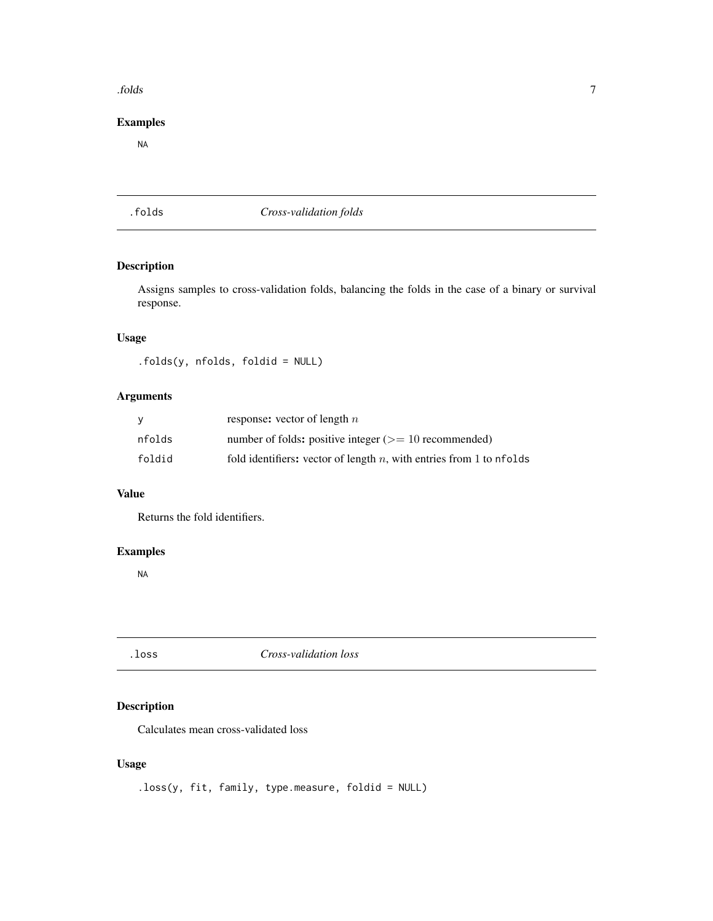#### <span id="page-6-0"></span>.folds 7

#### Examples

NA

.folds *Cross-validation folds*

### Description

Assigns samples to cross-validation folds, balancing the folds in the case of a binary or survival response.

#### Usage

.folds(y, nfolds, foldid = NULL)

### Arguments

|        | response: vector of length $n$                                         |
|--------|------------------------------------------------------------------------|
| nfolds | number of folds: positive integer $(>= 10$ recommended)                |
| foldid | fold identifiers: vector of length $n$ , with entries from 1 to nfolds |

#### Value

Returns the fold identifiers.

#### Examples

NA

<span id="page-6-1"></span>.loss *Cross-validation loss*

### Description

Calculates mean cross-validated loss

#### Usage

.loss(y, fit, family, type.measure, foldid = NULL)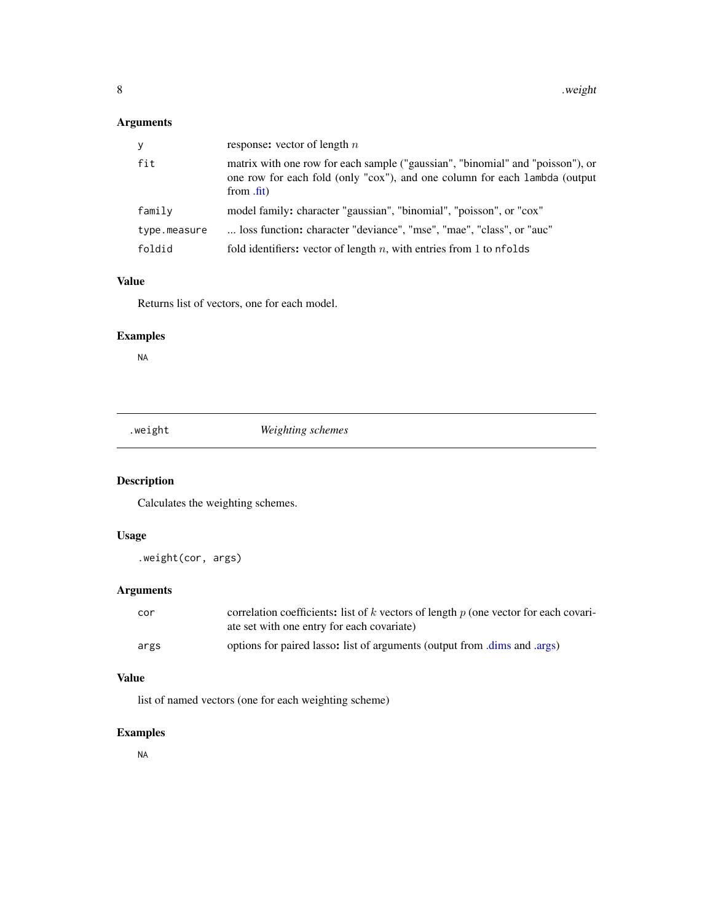### <span id="page-7-0"></span>Arguments

| У            | response: vector of length $n$                                                                                                                                             |
|--------------|----------------------------------------------------------------------------------------------------------------------------------------------------------------------------|
| fit          | matrix with one row for each sample ("gaussian", "binomial" and "poisson"), or<br>one row for each fold (only "cox"), and one column for each lambda (output<br>from .fit) |
| family       | model family: character "gaussian", "binomial", "poisson", or "cox"                                                                                                        |
| type.measure | loss function: character "deviance", "mse", "mae", "class", or "auc"                                                                                                       |
| foldid       | fold identifiers: vector of length $n$ , with entries from 1 to nfolds                                                                                                     |

#### Value

Returns list of vectors, one for each model.

### Examples

NA

.weight *Weighting schemes*

# Description

Calculates the weighting schemes.

#### Usage

.weight(cor, args)

### Arguments

| cor  | correlation coefficients: list of $k$ vectors of length $p$ (one vector for each covari-<br>ate set with one entry for each covariate) |
|------|----------------------------------------------------------------------------------------------------------------------------------------|
| args | options for paired lasso: list of arguments (output from dims and args)                                                                |

#### Value

list of named vectors (one for each weighting scheme)

# Examples

NA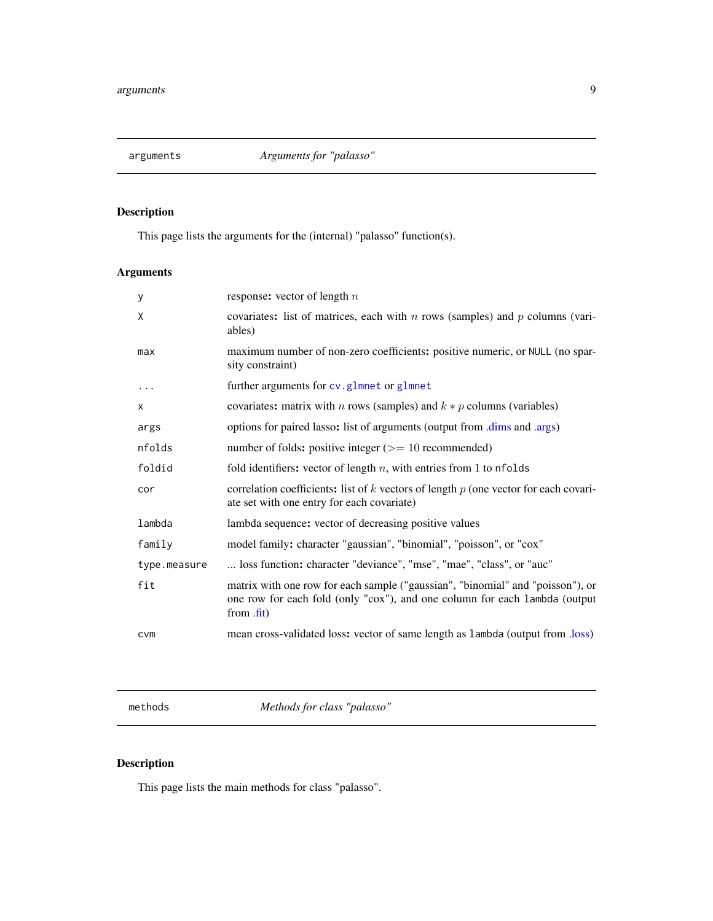<span id="page-8-0"></span>

This page lists the arguments for the (internal) "palasso" function(s).

# Arguments

| у            | response: vector of length $n$                                                                                                                                             |
|--------------|----------------------------------------------------------------------------------------------------------------------------------------------------------------------------|
| X            | covariates: list of matrices, each with $n$ rows (samples) and $p$ columns (vari-<br>ables)                                                                                |
| max          | maximum number of non-zero coefficients: positive numeric, or NULL (no spar-<br>sity constraint)                                                                           |
| .            | further arguments for cv.glmnet or glmnet                                                                                                                                  |
| X            | covariates: matrix with <i>n</i> rows (samples) and $k * p$ columns (variables)                                                                                            |
| args         | options for paired lasso: list of arguments (output from .dims and .args)                                                                                                  |
| nfolds       | number of folds: positive integer $(>= 10$ recommended)                                                                                                                    |
| foldid       | fold identifiers: vector of length $n$ , with entries from 1 to nfolds                                                                                                     |
| cor          | correlation coefficients: list of $k$ vectors of length $p$ (one vector for each covari-<br>ate set with one entry for each covariate)                                     |
| lambda       | lambda sequence: vector of decreasing positive values                                                                                                                      |
| family       | model family: character "gaussian", "binomial", "poisson", or "cox"                                                                                                        |
| type.measure | loss function: character "deviance", "mse", "mae", "class", or "auc"                                                                                                       |
| fit          | matrix with one row for each sample ("gaussian", "binomial" and "poisson"), or<br>one row for each fold (only "cox"), and one column for each lambda (output<br>from .fit) |
| <b>CVM</b>   | mean cross-validated loss: vector of same length as lambda (output from .loss)                                                                                             |

methods *Methods for class "palasso"*

# <span id="page-8-1"></span>Description

This page lists the main methods for class "palasso".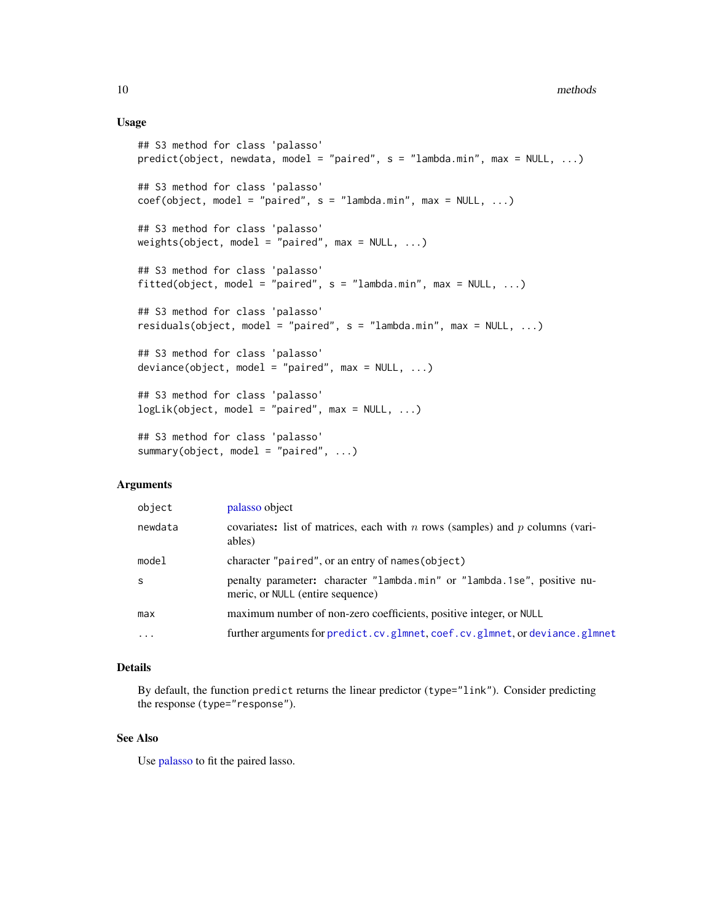#### Usage

```
## S3 method for class 'palasso'
predict(object, newdata, model = "paired", s = "lambda.min", max = NULL, ...)
## S3 method for class 'palasso'
coef(object, model = "paired", s = "lambda.min", max = NULL, ...)## S3 method for class 'palasso'
weights(object, model = "paired", max = NULL, ...)## S3 method for class 'palasso'
fitted(object, model = "paired", s = "lambda.min", max = NULL, ...)
## S3 method for class 'palasso'
residuals(object, model = "paired", s = "lambda.min", max = NULL, ...)
## S3 method for class 'palasso'
deviance(object, model = "paired", max = NULL, ...)## S3 method for class 'palasso'
logLik(object, model = "paired", max = NULL, ...)## S3 method for class 'palasso'
summary(object, model = "paired", \ldots)
```
#### Arguments

| object   | palasso object                                                                                              |
|----------|-------------------------------------------------------------------------------------------------------------|
| newdata  | covariates: list of matrices, each with n rows (samples) and p columns (vari-<br>ables)                     |
| model    | character "paired", or an entry of names (object)                                                           |
| S        | penalty parameter: character "lambda.min" or "lambda.1se", positive nu-<br>meric, or NULL (entire sequence) |
| max      | maximum number of non-zero coefficients, positive integer, or NULL                                          |
| $\cdots$ | further arguments for predict.cv.glmnet, coef.cv.glmnet, or deviance.glmnet                                 |

#### Details

By default, the function predict returns the linear predictor (type="link"). Consider predicting the response (type="response").

#### See Also

Use [palasso](#page-10-1) to fit the paired lasso.

<span id="page-9-0"></span>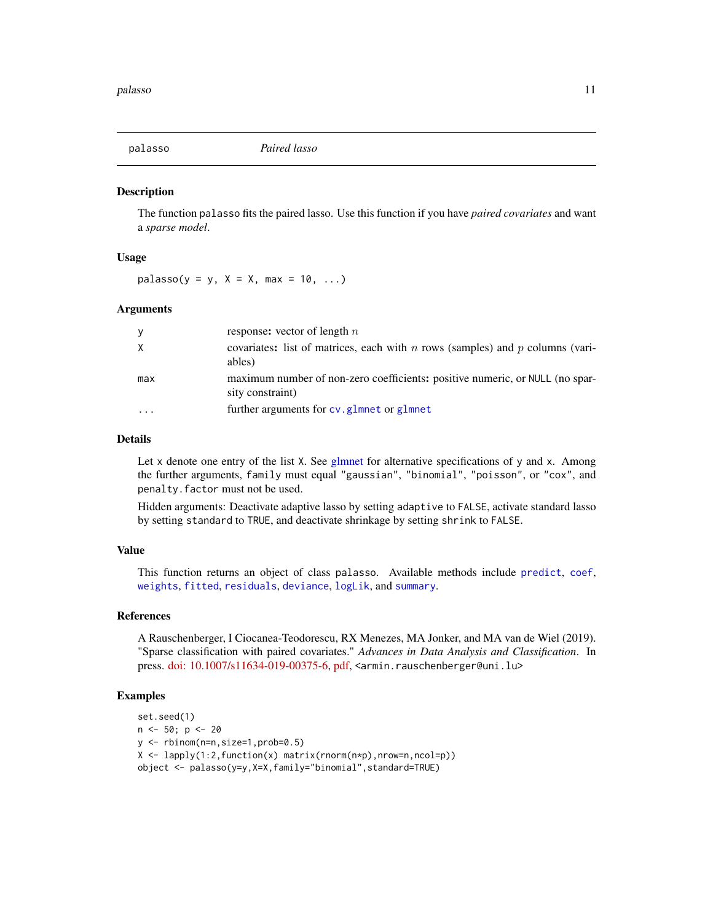<span id="page-10-1"></span><span id="page-10-0"></span>

The function palasso fits the paired lasso. Use this function if you have *paired covariates* and want a *sparse model*.

#### Usage

 $palasso(y = y, X = X, max = 10, ...)$ 

#### Arguments

| y                       | response: vector of length $n$                                                                   |
|-------------------------|--------------------------------------------------------------------------------------------------|
| X                       | covariates: list of matrices, each with n rows (samples) and p columns (vari-<br>ables)          |
| max                     | maximum number of non-zero coefficients: positive numeric, or NULL (no spar-<br>sity constraint) |
| $\cdot$ $\cdot$ $\cdot$ | further arguments for cv. glmnet or glmnet                                                       |

#### Details

Let x denote one entry of the list X. See [glmnet](#page-0-0) for alternative specifications of y and x. Among the further arguments, family must equal "gaussian", "binomial", "poisson", or "cox", and penalty.factor must not be used.

Hidden arguments: Deactivate adaptive lasso by setting adaptive to FALSE, activate standard lasso by setting standard to TRUE, and deactivate shrinkage by setting shrink to FALSE.

#### Value

This function returns an object of class palasso. Available methods include [predict](#page-8-1), [coef](#page-8-1), [weights](#page-8-1), [fitted](#page-8-1), [residuals](#page-8-1), [deviance](#page-8-1), [logLik](#page-8-1), and [summary](#page-8-1).

#### References

A Rauschenberger, I Ciocanea-Teodorescu, RX Menezes, MA Jonker, and MA van de Wiel (2019). "Sparse classification with paired covariates." *Advances in Data Analysis and Classification*. In press. [doi: 10.1007/s11634-019-00375-6,](https://doi.org/10.1007/s11634-019-00375-6) [pdf,](https://link.springer.com/content/pdf/10.1007/s11634-019-00375-6.pdf) <armin.rauschenberger@uni.lu>

#### Examples

```
set.seed(1)
n < -50; p < -20y <- rbinom(n=n,size=1,prob=0.5)
X <- lapply(1:2,function(x) matrix(rnorm(n*p),nrow=n,ncol=p))
object <- palasso(y=y,X=X,family="binomial",standard=TRUE)
```